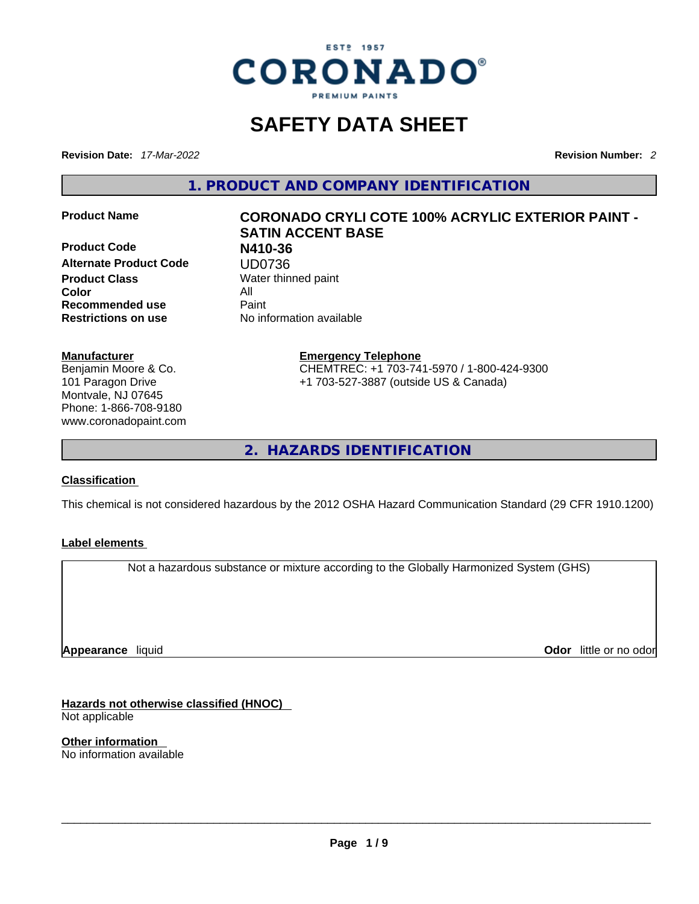

# **SAFETY DATA SHEET**

**Revision Date:** *17-Mar-2022* **Revision Number:** *2*

**1. PRODUCT AND COMPANY IDENTIFICATION** 

**Product Code N410-36 Alternate Product Code UD0736**<br> **Product Class** Water thin **Color** All **Recommended use** Paint **Restrictions on use** No information available

## **Manufacturer**

Benjamin Moore & Co. 101 Paragon Drive Montvale, NJ 07645 Phone: 1-866-708-9180 www.coronadopaint.com

### **Product Name CORONADO CRYLI COTE 100% ACRYLIC EXTERIOR PAINT - SATIN ACCENT BASE**

**Water thinned paint** 

**Emergency Telephone** CHEMTREC: +1 703-741-5970 / 1-800-424-9300 +1 703-527-3887 (outside US & Canada)

**2. HAZARDS IDENTIFICATION** 

#### **Classification**

This chemical is not considered hazardous by the 2012 OSHA Hazard Communication Standard (29 CFR 1910.1200)

#### **Label elements**

Not a hazardous substance or mixture according to the Globally Harmonized System (GHS)

**Appearance** liquid

**Odor** little or no odor

**Hazards not otherwise classified (HNOC)**  Not applicable

**Other information**  No information available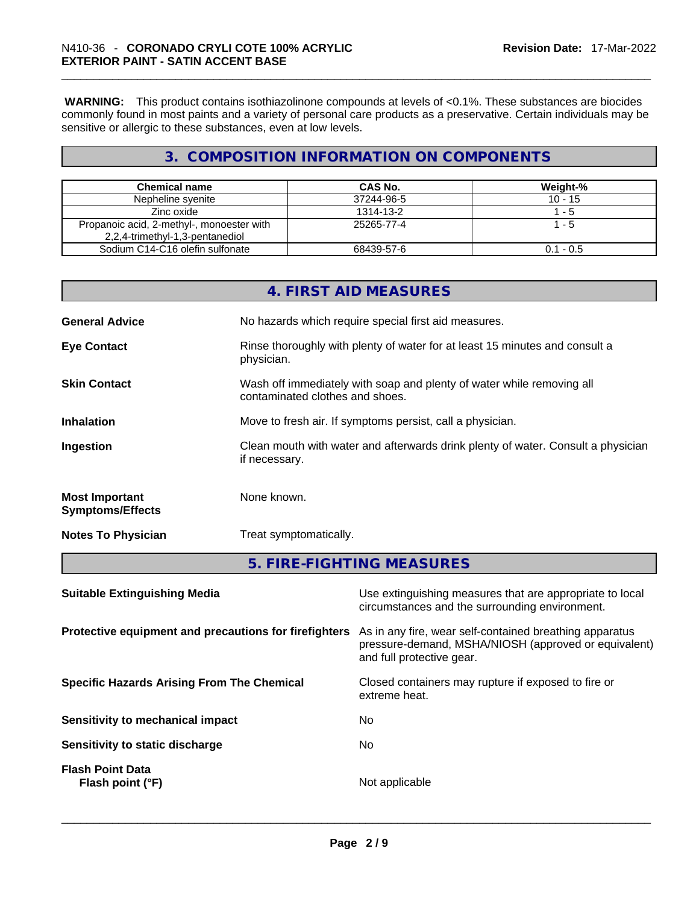**WARNING:** This product contains isothiazolinone compounds at levels of <0.1%. These substances are biocides commonly found in most paints and a variety of personal care products as a preservative. Certain individuals may be sensitive or allergic to these substances, even at low levels.

### **3. COMPOSITION INFORMATION ON COMPONENTS**

| <b>Chemical name</b>                      | CAS No.    | Weight-%    |
|-------------------------------------------|------------|-------------|
| Nepheline syenite                         | 37244-96-5 | $10 - 15$   |
| Zinc oxide                                | 1314-13-2  | $1 - 5$     |
| Propanoic acid, 2-methyl-, monoester with | 25265-77-4 | 1 - 5       |
| 2,2,4-trimethyl-1,3-pentanediol           |            |             |
| Sodium C14-C16 olefin sulfonate           | 68439-57-6 | $0.1 - 0.5$ |

|                                                  | 4. FIRST AID MEASURES                                                                                    |
|--------------------------------------------------|----------------------------------------------------------------------------------------------------------|
| <b>General Advice</b>                            | No hazards which require special first aid measures.                                                     |
| <b>Eye Contact</b>                               | Rinse thoroughly with plenty of water for at least 15 minutes and consult a<br>physician.                |
| <b>Skin Contact</b>                              | Wash off immediately with soap and plenty of water while removing all<br>contaminated clothes and shoes. |
| <b>Inhalation</b>                                | Move to fresh air. If symptoms persist, call a physician.                                                |
| Ingestion                                        | Clean mouth with water and afterwards drink plenty of water. Consult a physician<br>if necessary.        |
| <b>Most Important</b><br><b>Symptoms/Effects</b> | None known.                                                                                              |
| <b>Notes To Physician</b>                        | Treat symptomatically.                                                                                   |
|                                                  | 5. FIRE-FIGHTING MEASURES                                                                                |
| <b>Suitable Extinguishing Media</b>              | Use extinguishing measures that are appropriate to local                                                 |

|                                                       | circumstances and the surrounding environment.                                                                                               |
|-------------------------------------------------------|----------------------------------------------------------------------------------------------------------------------------------------------|
| Protective equipment and precautions for firefighters | As in any fire, wear self-contained breathing apparatus<br>pressure-demand, MSHA/NIOSH (approved or equivalent)<br>and full protective gear. |
| <b>Specific Hazards Arising From The Chemical</b>     | Closed containers may rupture if exposed to fire or<br>extreme heat.                                                                         |
| Sensitivity to mechanical impact                      | No.                                                                                                                                          |
| Sensitivity to static discharge                       | No.                                                                                                                                          |
| <b>Flash Point Data</b><br>Flash point (°F)           | Not applicable                                                                                                                               |
|                                                       |                                                                                                                                              |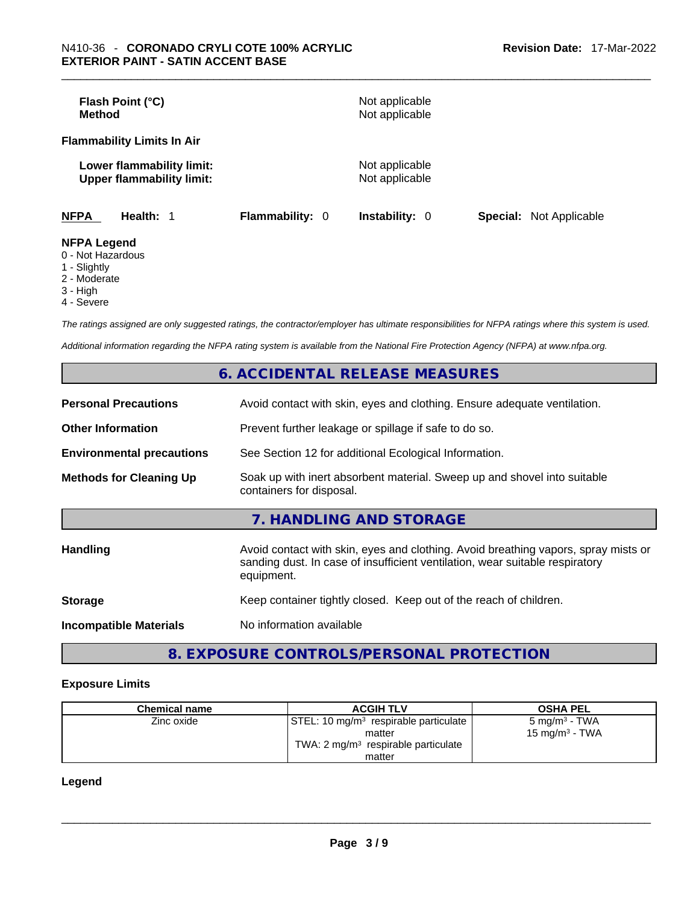| Flash Point (°C)<br><b>Method</b>                             |                        | Not applicable<br>Not applicable |                                |
|---------------------------------------------------------------|------------------------|----------------------------------|--------------------------------|
| <b>Flammability Limits In Air</b>                             |                        |                                  |                                |
| Lower flammability limit:<br><b>Upper flammability limit:</b> |                        | Not applicable<br>Not applicable |                                |
| <b>NFPA</b><br>Health: 1                                      | <b>Flammability: 0</b> | <b>Instability: 0</b>            | <b>Special:</b> Not Applicable |
| <b>NFPA Legend</b><br>0 - Not Hazardous                       |                        |                                  |                                |

- 
- 1 Slightly
- 2 Moderate
- 3 High
- 4 Severe

*The ratings assigned are only suggested ratings, the contractor/employer has ultimate responsibilities for NFPA ratings where this system is used.* 

*Additional information regarding the NFPA rating system is available from the National Fire Protection Agency (NFPA) at www.nfpa.org.* 

|                                  | 6. ACCIDENTAL RELEASE MEASURES                                                                                                                                                   |
|----------------------------------|----------------------------------------------------------------------------------------------------------------------------------------------------------------------------------|
| <b>Personal Precautions</b>      | Avoid contact with skin, eyes and clothing. Ensure adequate ventilation.                                                                                                         |
| <b>Other Information</b>         | Prevent further leakage or spillage if safe to do so.                                                                                                                            |
| <b>Environmental precautions</b> | See Section 12 for additional Ecological Information.                                                                                                                            |
| <b>Methods for Cleaning Up</b>   | Soak up with inert absorbent material. Sweep up and shovel into suitable<br>containers for disposal.                                                                             |
|                                  | 7. HANDLING AND STORAGE                                                                                                                                                          |
| <b>Handling</b>                  | Avoid contact with skin, eyes and clothing. Avoid breathing vapors, spray mists or<br>sanding dust. In case of insufficient ventilation, wear suitable respiratory<br>equipment. |
| <b>Storage</b>                   | Keep container tightly closed. Keep out of the reach of children.                                                                                                                |
| <b>Incompatible Materials</b>    | No information available                                                                                                                                                         |
|                                  |                                                                                                                                                                                  |

### **8. EXPOSURE CONTROLS/PERSONAL PROTECTION**

#### **Exposure Limits**

| <b>Chemical name</b> | <b>ACGIH TLV</b>                                  | <b>OSHA PEL</b>          |
|----------------------|---------------------------------------------------|--------------------------|
| Zinc oxide           | STEL: 10 mg/m <sup>3</sup> respirable particulate | $5 \text{ mg/m}^3$ - TWA |
|                      | matter                                            | 15 mg/m $3$ - TWA        |
|                      | TWA: $2 \text{ mg/m}^3$ respirable particulate    |                          |
|                      | matter                                            |                          |

#### **Legend**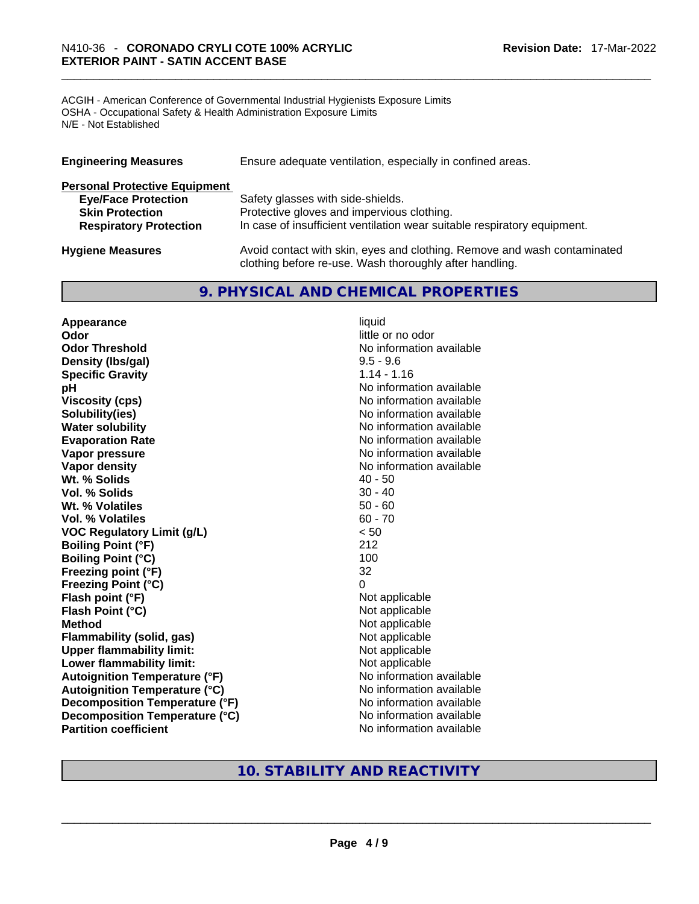ACGIH - American Conference of Governmental Industrial Hygienists Exposure Limits OSHA - Occupational Safety & Health Administration Exposure Limits N/E - Not Established

| <b>Engineering Measures</b>          | Ensure adequate ventilation, especially in confined areas.                                                                          |
|--------------------------------------|-------------------------------------------------------------------------------------------------------------------------------------|
| <b>Personal Protective Equipment</b> |                                                                                                                                     |
| <b>Eye/Face Protection</b>           | Safety glasses with side-shields.                                                                                                   |
| <b>Skin Protection</b>               | Protective gloves and impervious clothing.                                                                                          |
| <b>Respiratory Protection</b>        | In case of insufficient ventilation wear suitable respiratory equipment.                                                            |
| <b>Hygiene Measures</b>              | Avoid contact with skin, eyes and clothing. Remove and wash contaminated<br>clothing before re-use. Wash thoroughly after handling. |

**9. PHYSICAL AND CHEMICAL PROPERTIES** 

**Appearance** liquid **Odor Odor Odor Odor Odor Odor** *little or no odor little or no odor little or no odor* **Odor Threshold No information available No information available Density (lbs/gal)** 9.5 - 9.6 **Specific Gravity** 1.14 - 1.16 **pH pH No** information available **Viscosity (cps) No information available No information available Solubility(ies)** No information available **Water solubility Water solubility Water solubility Water solubility Water solubility Water solution Evaporation Rate No information available No information available Vapor pressure**  No information available **Vapor pressure No information available Vapor density No information available No information available Wt. % Solids** 40 - 50 **Vol. % Solids** 30 - 40 **Wt. % Volatiles** 50 - 60 **Vol. % Volatiles** 60 - 70 **VOC Regulatory Limit (g/L)** < 50 **Boiling Point (°F)** 212 **Boiling Point**  $(^{\circ}C)$  100 **Freezing point (°F)** 32 **Freezing Point (°C)** 0 **Flash point (°F)** Not applicable **Flash Point (°C)** Not applicable **Method** Not applicable **Flammability (solid, gas)** Not applicable **Upper flammability limit:** Not applicable **Lower flammability limit:** Not applicable **Autoignition Temperature (°F)** No information available **Autoignition Temperature (°C)** No information available **Decomposition Temperature (°F)** No information available **Decomposition Temperature (°C)** No information available **Partition coefficient Community Contract Contract Contract Contract Contract Contract Contract Contract Contract Contract Contract Contract Contract Contract Contract Contract Contract Contract Contract Contract Contr** 

### **10. STABILITY AND REACTIVITY**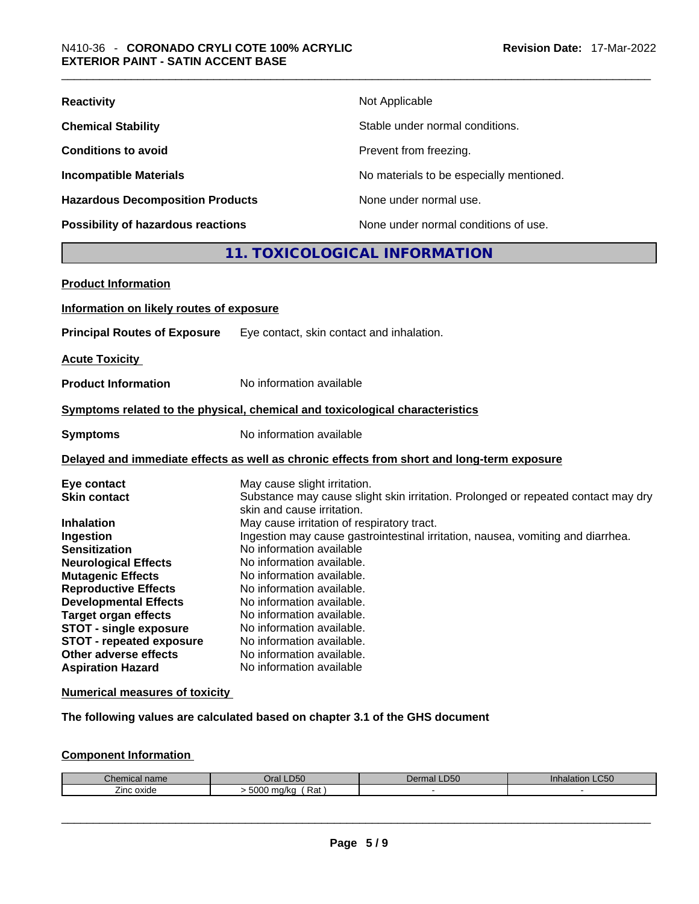| <b>Reactivity</b>                       | Not Applicable                           |
|-----------------------------------------|------------------------------------------|
| <b>Chemical Stability</b>               | Stable under normal conditions.          |
| <b>Conditions to avoid</b>              | Prevent from freezing.                   |
| <b>Incompatible Materials</b>           | No materials to be especially mentioned. |
| <b>Hazardous Decomposition Products</b> | None under normal use.                   |
| Possibility of hazardous reactions      | None under normal conditions of use.     |

## **11. TOXICOLOGICAL INFORMATION**

| <b>Product Information</b>                                                                                                                                                                                                                                                                                                |                                                                                                                                                                                                                                                                                                                                                                                                                                                                                                                         |
|---------------------------------------------------------------------------------------------------------------------------------------------------------------------------------------------------------------------------------------------------------------------------------------------------------------------------|-------------------------------------------------------------------------------------------------------------------------------------------------------------------------------------------------------------------------------------------------------------------------------------------------------------------------------------------------------------------------------------------------------------------------------------------------------------------------------------------------------------------------|
| Information on likely routes of exposure                                                                                                                                                                                                                                                                                  |                                                                                                                                                                                                                                                                                                                                                                                                                                                                                                                         |
| <b>Principal Routes of Exposure</b>                                                                                                                                                                                                                                                                                       | Eye contact, skin contact and inhalation.                                                                                                                                                                                                                                                                                                                                                                                                                                                                               |
| <b>Acute Toxicity</b>                                                                                                                                                                                                                                                                                                     |                                                                                                                                                                                                                                                                                                                                                                                                                                                                                                                         |
| <b>Product Information</b>                                                                                                                                                                                                                                                                                                | No information available                                                                                                                                                                                                                                                                                                                                                                                                                                                                                                |
|                                                                                                                                                                                                                                                                                                                           | Symptoms related to the physical, chemical and toxicological characteristics                                                                                                                                                                                                                                                                                                                                                                                                                                            |
| <b>Symptoms</b>                                                                                                                                                                                                                                                                                                           | No information available                                                                                                                                                                                                                                                                                                                                                                                                                                                                                                |
|                                                                                                                                                                                                                                                                                                                           | Delayed and immediate effects as well as chronic effects from short and long-term exposure                                                                                                                                                                                                                                                                                                                                                                                                                              |
| Eye contact<br><b>Skin contact</b><br><b>Inhalation</b><br>Ingestion<br><b>Sensitization</b><br><b>Neurological Effects</b><br><b>Mutagenic Effects</b><br><b>Reproductive Effects</b><br><b>Developmental Effects</b><br><b>Target organ effects</b><br><b>STOT - single exposure</b><br><b>STOT - repeated exposure</b> | May cause slight irritation.<br>Substance may cause slight skin irritation. Prolonged or repeated contact may dry<br>skin and cause irritation.<br>May cause irritation of respiratory tract.<br>Ingestion may cause gastrointestinal irritation, nausea, vomiting and diarrhea.<br>No information available<br>No information available.<br>No information available.<br>No information available.<br>No information available.<br>No information available.<br>No information available.<br>No information available. |
| Other adverse effects<br><b>Aspiration Hazard</b>                                                                                                                                                                                                                                                                         | No information available.<br>No information available                                                                                                                                                                                                                                                                                                                                                                                                                                                                   |
|                                                                                                                                                                                                                                                                                                                           |                                                                                                                                                                                                                                                                                                                                                                                                                                                                                                                         |

**Numerical measures of toxicity**

**The following values are calculated based on chapter 3.1 of the GHS document**

### **Component Information**

| ianie<br>21 ISB | <b>D50</b><br>)ra               | $\mathbf{r}$<br>ч ю. | $\sim$ $\sim$ $\sim$<br>LCJU.<br>.<br>яю. |
|-----------------|---------------------------------|----------------------|-------------------------------------------|
| -<br>∠inc oxide | 5000<br>Rat<br>م دا او .<br>VN. |                      |                                           |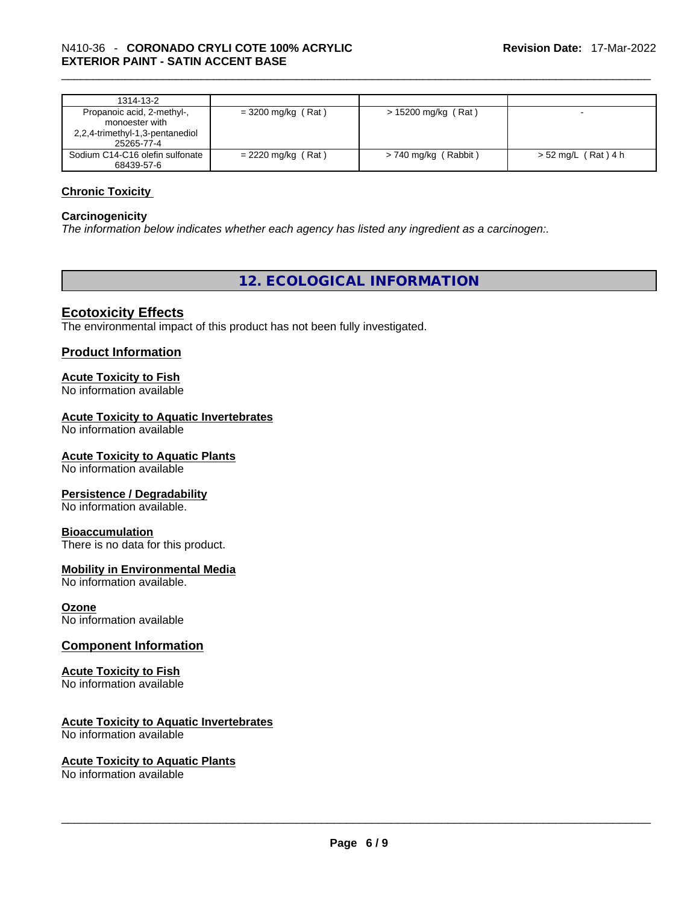| 1314-13-2                                                                                     |                      |                        |                       |
|-----------------------------------------------------------------------------------------------|----------------------|------------------------|-----------------------|
| Propanoic acid, 2-methyl-,<br>monoester with<br>2,2,4-trimethyl-1,3-pentanediol<br>25265-77-4 | $=$ 3200 mg/kg (Rat) | > 15200 mg/kg (Rat)    |                       |
| Sodium C14-C16 olefin sulfonate<br>68439-57-6                                                 | $= 2220$ mg/kg (Rat) | $> 740$ mg/kg (Rabbit) | $> 52$ mg/L (Rat) 4 h |

#### **Chronic Toxicity**

#### **Carcinogenicity**

*The information below indicates whether each agency has listed any ingredient as a carcinogen:.* 

**12. ECOLOGICAL INFORMATION** 

#### **Ecotoxicity Effects**

The environmental impact of this product has not been fully investigated.

#### **Product Information**

#### **Acute Toxicity to Fish**

No information available

#### **Acute Toxicity to Aquatic Invertebrates**

No information available

#### **Acute Toxicity to Aquatic Plants**

No information available

#### **Persistence / Degradability**

No information available.

#### **Bioaccumulation**

There is no data for this product.

#### **Mobility in Environmental Media**

No information available.

#### **Ozone**

No information available

#### **Component Information**

### **Acute Toxicity to Fish**

No information available

#### **Acute Toxicity to Aquatic Invertebrates**

No information available

# **Acute Toxicity to Aquatic Plants**

No information available \_\_\_\_\_\_\_\_\_\_\_\_\_\_\_\_\_\_\_\_\_\_\_\_\_\_\_\_\_\_\_\_\_\_\_\_\_\_\_\_\_\_\_\_\_\_\_\_\_\_\_\_\_\_\_\_\_\_\_\_\_\_\_\_\_\_\_\_\_\_\_\_\_\_\_\_\_\_\_\_\_\_\_\_\_\_\_\_\_\_\_\_\_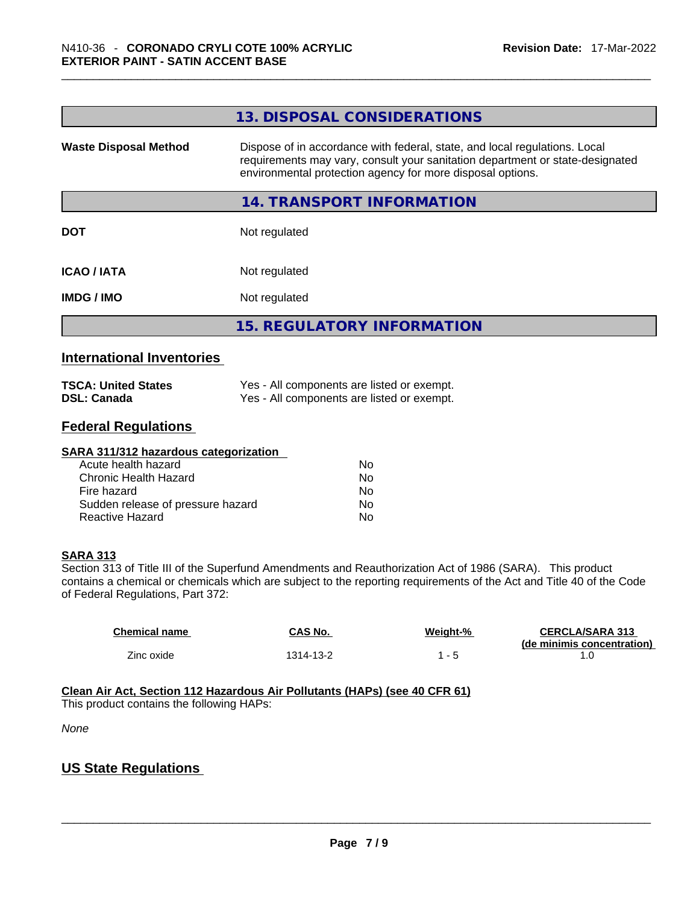|                              | 13. DISPOSAL CONSIDERATIONS                                                                                                                                                                                               |
|------------------------------|---------------------------------------------------------------------------------------------------------------------------------------------------------------------------------------------------------------------------|
| <b>Waste Disposal Method</b> | Dispose of in accordance with federal, state, and local regulations. Local<br>requirements may vary, consult your sanitation department or state-designated<br>environmental protection agency for more disposal options. |
|                              | 14. TRANSPORT INFORMATION                                                                                                                                                                                                 |
| <b>DOT</b>                   | Not regulated                                                                                                                                                                                                             |
| <b>ICAO/IATA</b>             | Not regulated                                                                                                                                                                                                             |
| <b>IMDG/IMO</b>              | Not regulated                                                                                                                                                                                                             |
|                              | <b>15. REGULATORY INFORMATION</b>                                                                                                                                                                                         |
|                              |                                                                                                                                                                                                                           |

#### **International Inventories**

| <b>TSCA: United States</b> | Yes - All components are listed or exempt. |
|----------------------------|--------------------------------------------|
| <b>DSL: Canada</b>         | Yes - All components are listed or exempt. |

#### **Federal Regulations**

| SARA 311/312 hazardous categorization |                |  |
|---------------------------------------|----------------|--|
| Acute health hazard                   | No             |  |
| Chronic Health Hazard                 | N <sub>0</sub> |  |
| Fire hazard                           | N <sub>0</sub> |  |
| Sudden release of pressure hazard     | No.            |  |
| Reactive Hazard                       | N <sub>0</sub> |  |

#### **SARA 313**

Section 313 of Title III of the Superfund Amendments and Reauthorization Act of 1986 (SARA). This product contains a chemical or chemicals which are subject to the reporting requirements of the Act and Title 40 of the Code of Federal Regulations, Part 372:

| <b>Chemical name</b> | CAS No.   | Weight-% | <b>CERCLA/SARA 313</b><br>(de minimis concentration) |
|----------------------|-----------|----------|------------------------------------------------------|
| Zinc oxide           | 1314-13-2 |          |                                                      |

**Clean Air Act,Section 112 Hazardous Air Pollutants (HAPs) (see 40 CFR 61)** This product contains the following HAPs:

*None*

### **US State Regulations**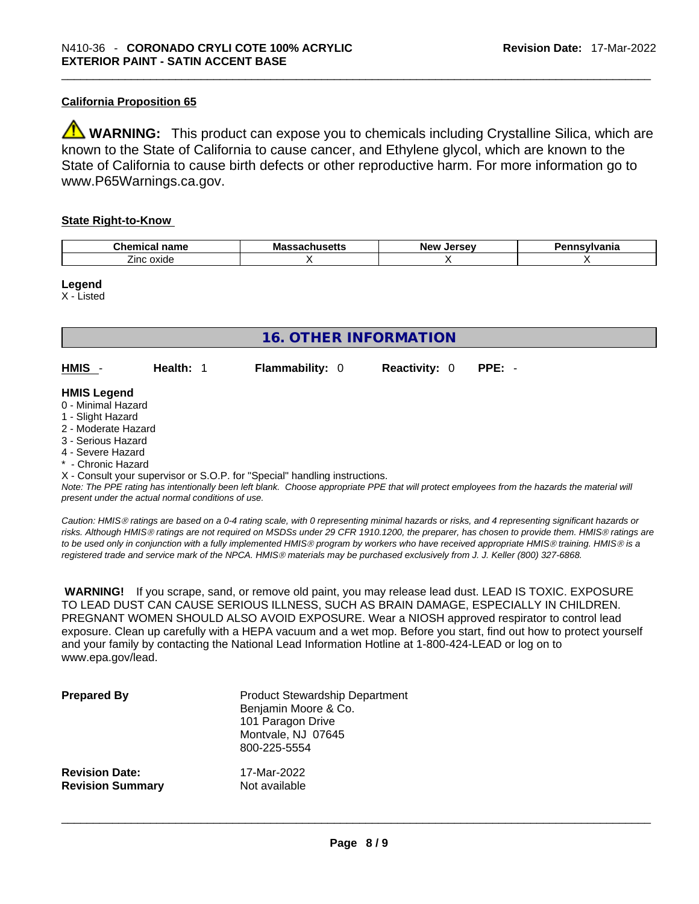#### **California Proposition 65**

**WARNING:** This product can expose you to chemicals including Crystalline Silica, which are known to the State of California to cause cancer, and Ethylene glycol, which are known to the State of California to cause birth defects or other reproductive harm. For more information go to www.P65Warnings.ca.gov.

#### **State Right-to-Know**

| Chemical<br>- ---<br>name     | Mε<br>вець | .<br><b>NAV</b><br>10۰ | .<br>I II c |
|-------------------------------|------------|------------------------|-------------|
| --<br>ovide<br>∠ınr<br>$\sim$ |            |                        |             |

#### **Legend**

X - Listed

| 16. OTHER INFORMATION                                                                                                                                 |                                                    |                                                                            |                      |                                                                                                                                               |
|-------------------------------------------------------------------------------------------------------------------------------------------------------|----------------------------------------------------|----------------------------------------------------------------------------|----------------------|-----------------------------------------------------------------------------------------------------------------------------------------------|
| $HMS -$                                                                                                                                               | Health: 1                                          | <b>Flammability: 0</b>                                                     | <b>Reactivity: 0</b> | $PPE: -$                                                                                                                                      |
| <b>HMIS Legend</b><br>0 - Minimal Hazard<br>1 - Slight Hazard<br>2 - Moderate Hazard<br>3 - Serious Hazard<br>4 - Severe Hazard<br>* - Chronic Hazard |                                                    |                                                                            |                      |                                                                                                                                               |
|                                                                                                                                                       | present under the actual normal conditions of use. | X - Consult your supervisor or S.O.P. for "Special" handling instructions. |                      | Note: The PPE rating has intentionally been left blank. Choose appropriate PPE that will protect employees from the hazards the material will |

*Caution: HMISÒ ratings are based on a 0-4 rating scale, with 0 representing minimal hazards or risks, and 4 representing significant hazards or risks. Although HMISÒ ratings are not required on MSDSs under 29 CFR 1910.1200, the preparer, has chosen to provide them. HMISÒ ratings are to be used only in conjunction with a fully implemented HMISÒ program by workers who have received appropriate HMISÒ training. HMISÒ is a registered trade and service mark of the NPCA. HMISÒ materials may be purchased exclusively from J. J. Keller (800) 327-6868.* 

 **WARNING!** If you scrape, sand, or remove old paint, you may release lead dust. LEAD IS TOXIC. EXPOSURE TO LEAD DUST CAN CAUSE SERIOUS ILLNESS, SUCH AS BRAIN DAMAGE, ESPECIALLY IN CHILDREN. PREGNANT WOMEN SHOULD ALSO AVOID EXPOSURE.Wear a NIOSH approved respirator to control lead exposure. Clean up carefully with a HEPA vacuum and a wet mop. Before you start, find out how to protect yourself and your family by contacting the National Lead Information Hotline at 1-800-424-LEAD or log on to www.epa.gov/lead.

| <b>Prepared By</b>      | <b>Product Stewardship Department</b><br>Benjamin Moore & Co.<br>101 Paragon Drive<br>Montvale, NJ 07645<br>800-225-5554 |
|-------------------------|--------------------------------------------------------------------------------------------------------------------------|
| <b>Revision Date:</b>   | 17-Mar-2022                                                                                                              |
| <b>Revision Summary</b> | Not available                                                                                                            |